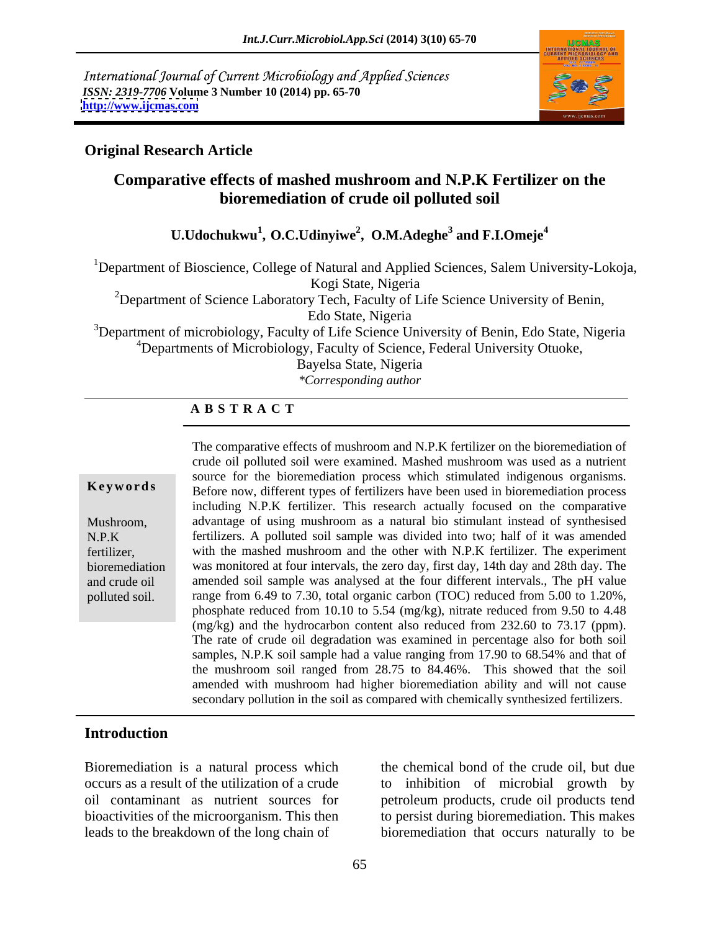International Journal of Current Microbiology and Applied Sciences *ISSN: 2319-7706* **Volume 3 Number 10 (2014) pp. 65-70 <http://www.ijcmas.com>**



### **Original Research Article**

# **Comparative effects of mashed mushroom and N.P.K Fertilizer on the bioremediation of crude oil polluted soil**

 $\rm U. Udochukwu$ <sup>1</sup>,  $\rm O. C. Udinyiwe$ <sup>2</sup>,  $\rm O. M. Adeghe$ <sup>3</sup> and  $\rm F. I. Omeje$ <sup>4</sup> **and F.I.Omeje<sup>4</sup>**

<sup>1</sup>Department of Bioscience, College of Natural and Applied Sciences, Salem University-Lokoja, Kogi State, Nigeria

<sup>2</sup>Department of Science Laboratory Tech, Faculty of Life Science University of Benin, Edo State, Nigeria

<sup>3</sup>Department of microbiology, Faculty of Life Science University of Benin, Edo State, Nigeria <sup>4</sup>Departments of Microbiology, Faculty of Science, Federal University Otuoke,

Bayelsa State, Nigeria

*\*Corresponding author*

### **A B S T R A C T**

**Keywords** Before now, different types of fertilizers have been used in bioremediation process Mushroom, advantage of using mushroom as a natural bio stimulant instead of synthesised N.P.K fertilizers. A polluted soil sample was divided into two; half of it was amended fertilizer, with the mashed mushroom and the other with N.P.K fertilizer. The experiment bioremediation was monitored at four intervals, the zero day, first day, 14th day and 28th day. The and crude oil amended soil sample was analysed at the four different intervals., The pH value polluted soil. Tange from 6.49 to 7.30, total organic carbon (TOC) reduced from 5.00 to 1.20%, The comparative effects of mushroom and N.P.K fertilizer on the bioremediation of crude oil polluted soil were examined. Mashed mushroom was used as a nutrient source for the bioremediation process which stimulated indigenous organisms. including N.P.K fertilizer. This research actually focused on the comparative phosphate reduced from 10.10 to 5.54 (mg/kg), nitrate reduced from 9.50 to 4.48 (mg/kg) and the hydrocarbon content also reduced from 232.60 to 73.17 (ppm). The rate of crude oil degradation was examined in percentage also for both soil samples, N.P.K soil sample had a value ranging from 17.90 to 68.54% and that of the mushroom soil ranged from 28.75 to 84.46%. This showed that the soil amended with mushroom had higher bioremediation ability and will not cause secondary pollution in the soil as compared with chemically synthesized fertilizers.

### **Introduction**

Bioremediation is a natural process which

occurs as a result of the utilization of a crude to inhibition of microbial growth by oil contaminant as nutrient sources for petroleum products, crude oil products tend bioactivities of the microorganism. This then to persist during bioremediation. This makes leads to the breakdown of the long chain of bioremediation that occurs naturally to be the chemical bond of the crude oil, but due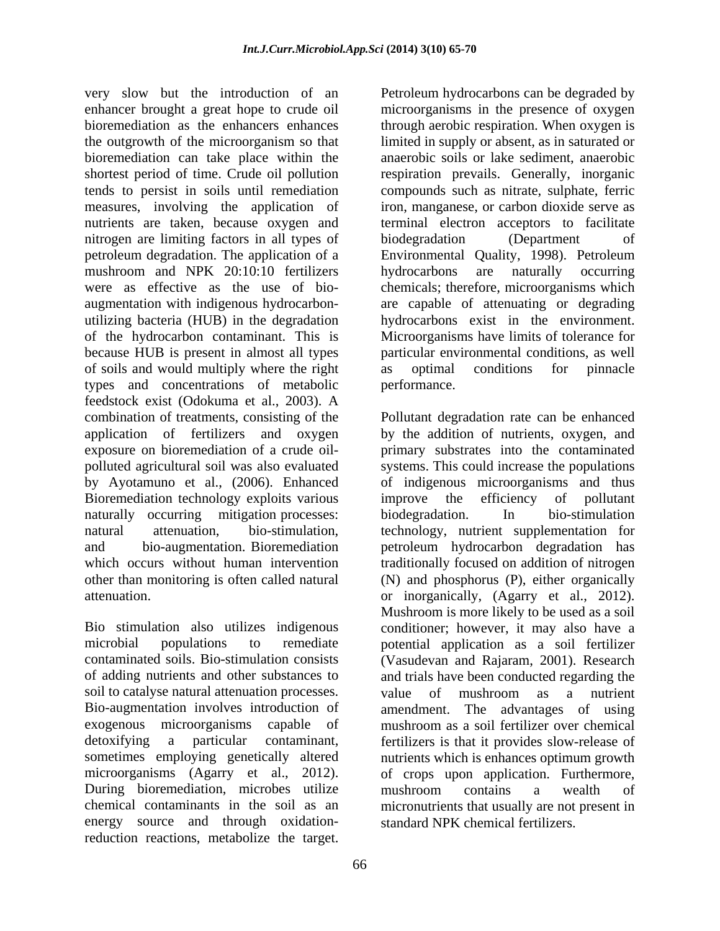bioremediation can take place within the nitrogen are limiting factors in all types of biodegradation (Department of mushroom and NPK 20:10:10 fertilizers bydrocarbons are naturally occurring of soils and would multiply where the right types and concentrations of metabolic feedstock exist (Odokuma et al., 2003). A application of fertilizers and oxygen Bioremediation technology exploits various improve the efficiency of pollutant naturally occurring mitigation processes: biodegradation. In bio-stimulation

soil to catalyse natural attenuation processes. value of mushroom as a nutrient Bio-augmentation involves introduction of During bioremediation, microbes utilize mushroom contains a wealth of chemical contaminants in the soil as an energy source and through oxidationreduction reactions, metabolize the target.

very slow but the introduction of an Petroleum hydrocarbons can be degraded by enhancer brought a great hope to crude oil microorganisms in the presence of oxygen bioremediation as the enhancers enhances through aerobic respiration. When oxygen is the outgrowth of the microorganism so that limited in supply or absent, as in saturated or shortest period of time. Crude oil pollution respiration prevails. Generally, inorganic tends to persist in soils until remediation compounds such as nitrate, sulphate, ferric measures, involving the application of iron, manganese, or carbon dioxide serve as nutrients are taken, because oxygen and terminal electron acceptors to facilitate petroleum degradation. The application of a Environmental Quality, 1998). Petroleum were as effective as the use of bio- chemicals; therefore, microorganisms which augmentation with indigenous hydrocarbon- are capable of attenuating or degrading utilizing bacteria (HUB) in the degradation hydrocarbons exist in the environment. of the hydrocarbon contaminant. This is Microorganisms have limits of tolerance for because HUB is present in almost all types particular environmental conditions, as well anaerobic soils or lake sediment, anaerobic biodegradation (Department of hydrocarbons are naturally occurring as optimal conditions for pinnacle performance.

combination of treatments, consisting of the Pollutant degradation rate can be enhanced exposure on bioremediation of a crude oil- primary substrates into the contaminated polluted agricultural soil was also evaluated systems. This could increase the populations by Ayotamuno et al., (2006). Enhanced of indigenous microorganisms and thus natural attenuation, bio-stimulation, technology, nutrient supplementation for and bio-augmentation. Bioremediation petroleum hydrocarbon degradation has which occurs without human intervention traditionally focused on addition of nitrogen other than monitoring is often called natural (N) and phosphorus (P), either organically attenuation. or inorganically, (Agarry et al., 2012). Bio stimulation also utilizes indigenous conditioner; however, it may also have a microbial populations to remediate potential application as a soil fertilizer contaminated soils. Bio-stimulation consists (Vasudevan and Rajaram, 2001). Research of adding nutrients and other substances to and trials have been conducted regarding the exogenous microorganisms capable of mushroom as a soil fertilizer over chemical detoxifying a particular contaminant, fertilizers is that it provides slow-release of sometimes employing genetically altered nutrients which is enhances optimum growth microorganisms (Agarry et al., 2012). of crops upon application. Furthermore, by the addition of nutrients, oxygen, and improve the efficiency of pollutant biodegradation. In bio-stimulation Mushroom is more likely to be used as a soil value of mushroom as a nutrient amendment. The advantages of using mushroom contains a wealth of micronutrients that usually are not present in standard NPK chemical fertilizers.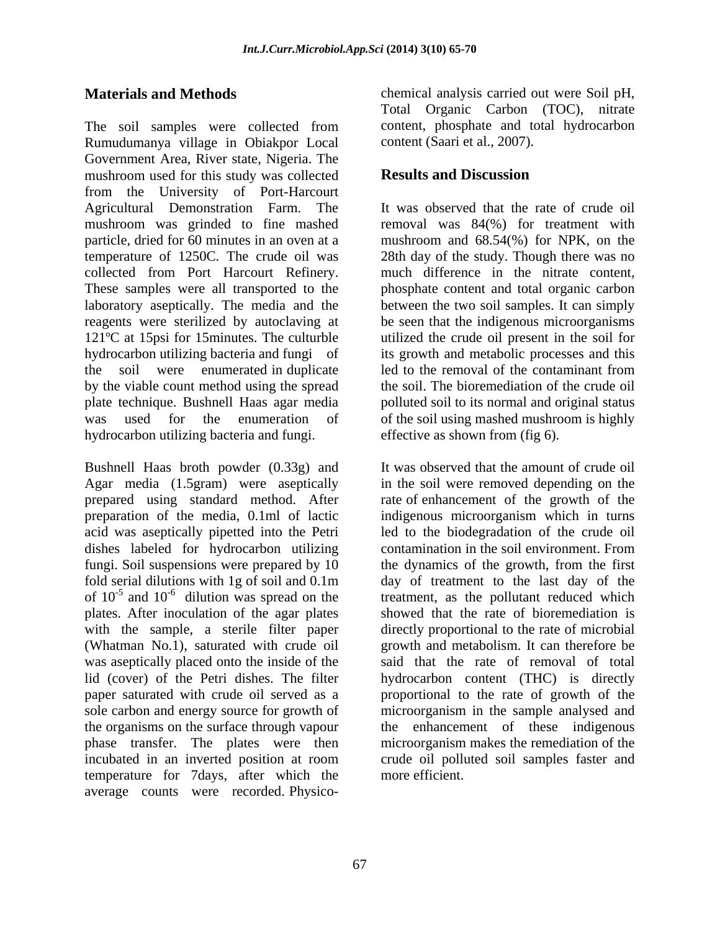The soil samples were collected from Rumudumanya village in Obiakpor Local Government Area, River state, Nigeria. The mushroom used for this study was collected **Results and Discussion** from the University of Port-Harcourt<br>Agricultural Demonstration Farm. The Agricultural Demonstration Farm. The It was observed that the rate of crude oil mushroom was grinded to fine mashed removal was 84(%) for treatment with particle, dried for 60 minutes in an oven at a mushroom and 68.54(%) for NPK, on the temperature of 1250C. The crude oil was 28th day of the study. Though there was no collected from Port Harcourt Refinery. These samples were all transported to the phosphate content and total organic carbon laboratory aseptically. The media and the between the two soil samples. It can simply reagents were sterilized by autoclaving at be seen that the indigenous microorganisms 121ºC at 15psi for 15minutes. The culturble utilized the crude oil present in the soil for hydrocarbon utilizing bacteria and fungi of its growth and metabolic processes and this the soil were enumerated in duplicate led to the removal of the contaminant from by the viable count method using the spread plate technique. Bushnell Haas agar media polluted soil to its normal and original status was used for the enumeration of of the soil using mashed mushroom is highly hydrocarbon utilizing bacteria and fungi.

Bushnell Haas broth powder (0.33g) and Agar media (1.5gram) were aseptically<br>prepared using standard method. After prepared using standard method. After rate of enhancement of the growth of the preparation of the media, 0.1ml of lactic indigenous microorganism which in turns acid was aseptically pipetted into the Petri dishes labeled for hydrocarbon utilizing contamination in the soil environment. From fungi. Soil suspensions were prepared by 10 the dynamics of the growth, from the first fold serial dilutions with 1g of soil and 0.1m day of treatment to the last day of the of  $10^{-5}$  and  $10^{-6}$  dilution was spread on the treatment, as the pollutant reduced which plates. After inoculation of the agar plates showed that the rate of bioremediation is with the sample, a sterile filter paper directly proportional to the rate of microbial (Whatman No.1), saturated with crude oil growth and metabolism. It can therefore be was aseptically placed onto the inside of the said that the rate of removal of total lid (cover) of the Petri dishes. The filter hydrocarbon content (THC) is directly paper saturated with crude oil served as a proportional to the rate of growth of the sole carbon and energy source for growth of microorganism in the sample analysed and the organisms on the surface through vapour phase transfer. The plates were then microorganism makes the remediation of the incubated in an inverted position at room temperature for 7days, after which the average counts were recorded. Physico-

**Materials and Methods** chemical analysis carried out were Soil pH, Total Organic Carbon (TOC), nitrate content, phosphate and total hydrocarbon content (Saari et al., 2007).

## **Results and Discussion**

much difference in the nitrate content, led to the removal of the contaminant from the soil. The bioremediation of the crude oil effective as shown from (fig 6).

and  $10^{-6}$  dilution was spread on the treatment, as the pollutant reduced which It was observed that the amount of crude oil in the soil were removed depending on the led to the biodegradation of the crude oil contamination in the soil environment. From the enhancement of these indigenous crude oil polluted soil samples faster and more efficient.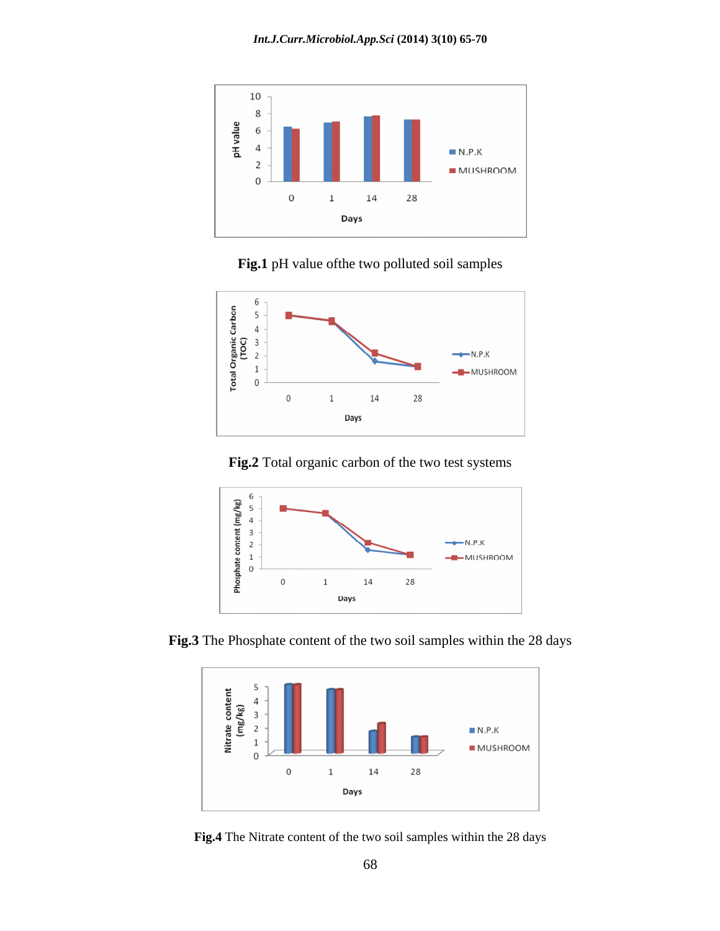

**Fig.1** pH value ofthe two polluted soil samples



**Fig.2** Total organic carbon of the two test systems



**Fig.3** The Phosphate content of the two soil samples within the 28 days



**Fig.4** The Nitrate content of the two soil samples within the 28 days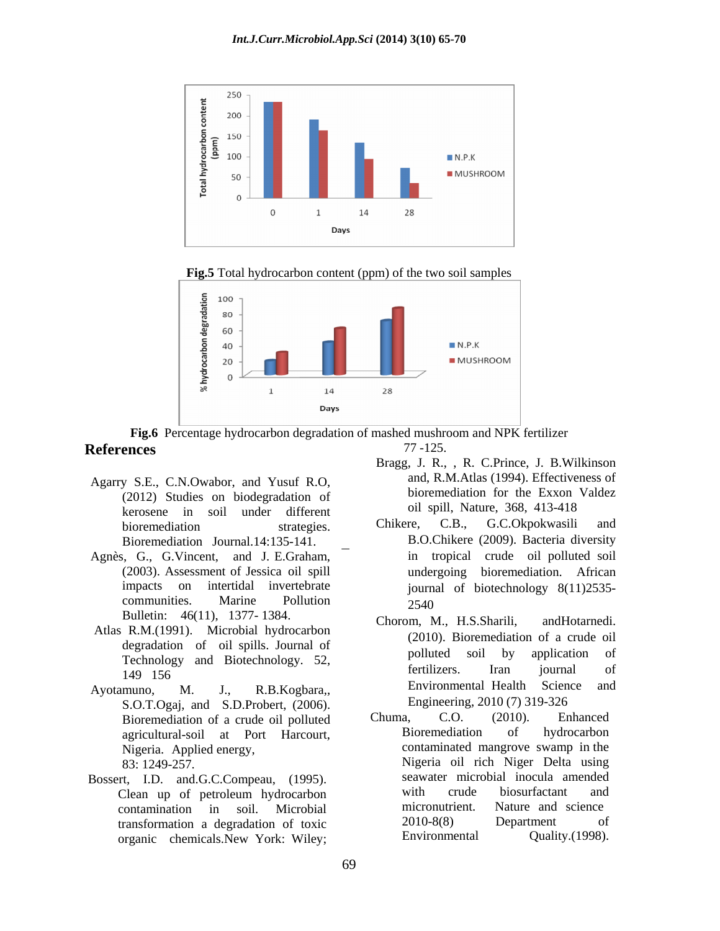

**Fig.5** Total hydrocarbon content (ppm) of the two soil samples



**Fig.6** Percentage hydrocarbon degradation of mashed mushroom and NPK fertilizer **References** 77-125. 77 -125.

- Agarry S.E., C.N.Owabor, and Yusuf R.O, (2012) Studies on biodegradation of kerosene in soil under different on only on the paint, Nature, 368, 413-418
- Bioremediation Journal.14:135-141.<br>Agnès, G., G.Vincent, and J. E.Graham, Bulletin: 46(11), 1377-1384. Chorom, M., H.S.Sharili, and Hotarnedi.
- Atlas R.M.(1991). Microbial hydrocarbon
- S.O.T.Ogaj, and S.D.Probert, (2006). Engineering, 2010 (7) 319-326<br>Bioremediation of a crude oil polluted Chuma. C.O. (2010). Enhanced agricultural-soil at Port Harcourt,
- Bossert, I.D. and.G.C.Compeau, (1995). Seawater microbial inocula amended<br>Clean up of petroleum hydrocarbon with crude biosurfactant and organic chemicals.New York: Wiley;
- Bragg, J. R., , R. C.Prince, J. B.Wilkinson and, R.M.Atlas (1994). Effectiveness of bioremediation for the Exxon Valdez oil spill, Nature, 368, 413-418
- bioremediation strategies. Chikere, C.B., G.C.Okpokwasili and Agnès, G., G.Vincent, and J. E.Graham, in tropical crude oil polluted soil (2003). Assessment of Jessica oil spill undergoing bioremediation. African impacts on intertidal invertebrate journal of biotechnology 8(11)2535-  $\sum_{n=1}^{\infty}$  Communities. Marine Pollution  $\sum_{n=1}^{\infty}$  2540 Chikere, C.B., G.C.Okpokwasili and B.O.Chikere (2009). Bacteria diversity in tropical crude oil polluted soil undergoing bioremediation. African 2540
- degradation of oil spills. Journal of the corresponding to the corresponding to the corresponding to the corresponding to the corresponding to the corresponding to the corresponding to the corresponding to the correspondin Technology and Biotechnology. 52, pointies son by application of the pointies of the state of the state of the state of the state of the state of the state of the state of the state of the state of the state of the state o 149 156 and the contract of the contract of the contract of the contract of the contract of the contract of the contract of the contract of the contract of the contract of the contract of the contract of the contract of th Ayotamuno, M. J., R.B.Kogbara,, Environmental Health Science and Chorom, M., H.S.Sharili, (2010). Bioremediation of a crude oil polluted soil by application of fertilizers. Iran journal of Engineering, 2010 (7) 319-326
	- Bioremediation of a crude oil polluted Chuma, C.O. (2010). Enhanced<br>agricultural-soil at Port Harcourt Bioremediation of hydrocarbon Nigeria. Applied energy, contaminated mangrove swamp in the 83: 1249-257. Nigeria oil rich Niger Delta using Clean up of petroleum hydrocarbon contamination in soil. Microbial transformation a degradation of toxic  $2010-8(8)$  Department of organic chemicals New York: Wiley: Environmental Quality.(1998). Chuma, C.O. (2010). Enhanced Bioremediation of hydrocarbon seawater microbial inocula amended with crude biosurfactant and micronutrient. Nature and science 2010-8(8) Department of Environmental Quality.(1998).